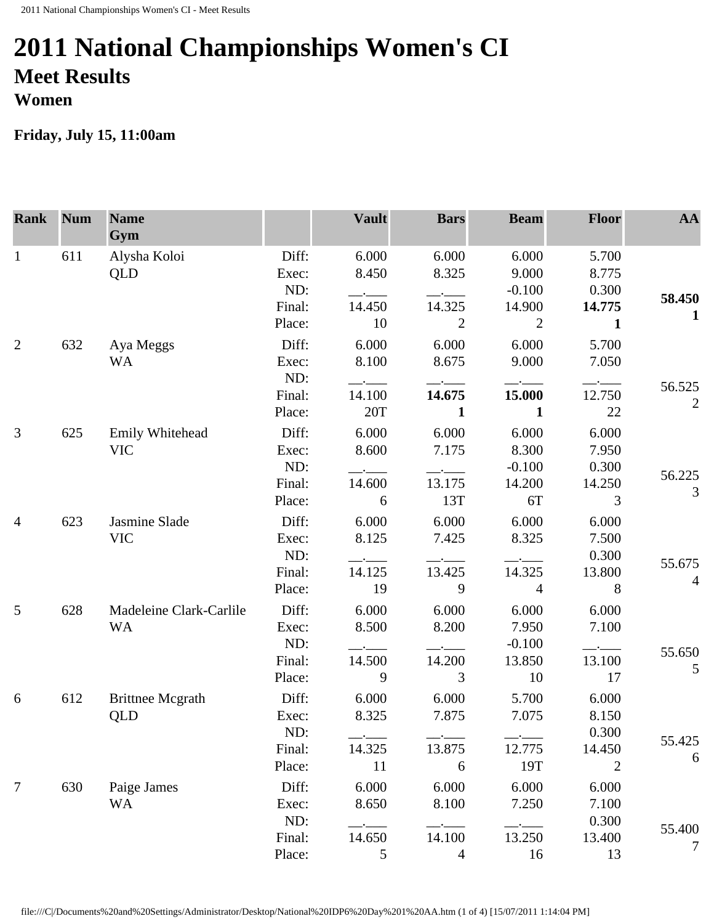## **2011 National Championships Women's CI Meet Results Women**

## **Friday, July 15, 11:00am**

| <b>Rank</b>    | <b>Num</b> | <b>Name</b><br>Gym                   |                         | <b>Vault</b>                    | <b>Bars</b>             | <b>Beam</b>                | Floor                             | AA                     |
|----------------|------------|--------------------------------------|-------------------------|---------------------------------|-------------------------|----------------------------|-----------------------------------|------------------------|
| $\mathbf{1}$   | 611        | Alysha Koloi<br>QLD                  | Diff:<br>Exec:          | 6.000<br>8.450                  | 6.000<br>8.325          | 6.000<br>9.000             | 5.700<br>8.775                    |                        |
|                |            |                                      | ND:<br>Final:           | 14.450                          | 14.325                  | $-0.100$<br>14.900         | 0.300<br>14.775                   | 58.450<br>$\mathbf{1}$ |
| 2              | 632        | Aya Meggs                            | Place:<br>Diff:         | 10<br>6.000                     | $\overline{2}$<br>6.000 | $\overline{2}$<br>6.000    | 1<br>5.700                        |                        |
|                |            | <b>WA</b>                            | Exec:<br>ND:<br>Final:  | 8.100<br>$-\cdot$ $-$<br>14.100 | 8.675<br>14.675         | 9.000<br>15.000            | 7.050<br>$ -$<br>12.750           | 56.525                 |
|                |            |                                      | Place:                  | 20T                             | $\mathbf{1}$            | $\mathbf{1}$               | 22                                | $\overline{2}$         |
| $\mathfrak{Z}$ | 625        | Emily Whitehead<br><b>VIC</b>        | Diff:<br>Exec:<br>ND:   | 6.000<br>8.600                  | 6.000<br>7.175          | 6.000<br>8.300<br>$-0.100$ | 6.000<br>7.950<br>0.300           |                        |
|                |            |                                      | Final:<br>Place:        | 14.600<br>6                     | 13.175<br>13T           | 14.200<br>6T               | 14.250<br>3                       | 56.225<br>3            |
| $\overline{4}$ | 623        | Jasmine Slade<br><b>VIC</b>          | Diff:<br>Exec:<br>ND:   | 6.000<br>8.125                  | 6.000<br>7.425          | 6.000<br>8.325             | 6.000<br>7.500<br>0.300           | 55.675                 |
|                |            |                                      | Final:<br>Place:        | 14.125<br>19                    | 13.425<br>9             | 14.325<br>$\overline{4}$   | 13.800<br>8                       | 4                      |
| 5              | 628        | Madeleine Clark-Carlile<br><b>WA</b> | Diff:<br>Exec:          | 6.000<br>8.500                  | 6.000<br>8.200          | 6.000<br>7.950             | 6.000<br>7.100                    |                        |
|                |            |                                      | ND:<br>Final:<br>Place: | 14.500<br>9                     | 14.200<br>3             | $-0.100$<br>13.850<br>10   | 13.100<br>17                      | 55.650<br>5            |
| 6              | 612        | <b>Brittnee Mcgrath</b><br>QLD       | Diff:<br>Exec:          | 6.000<br>8.325                  | 6.000<br>7.875          | 5.700<br>7.075             | 6.000<br>8.150                    |                        |
|                |            |                                      | ND:<br>Final:<br>Place: | 14.325<br>11                    | 13.875<br>6             | 12.775<br>19T              | 0.300<br>14.450<br>$\overline{2}$ | 55.425<br>6            |
| $\tau$         | 630        | Paige James<br><b>WA</b>             | Diff:<br>Exec:          | 6.000<br>8.650                  | 6.000<br>8.100          | 6.000<br>7.250             | 6.000<br>7.100                    |                        |
|                |            |                                      | ND:<br>Final:<br>Place: | 14.650<br>5                     | 14.100<br>4             | 13.250<br>16               | 0.300<br>13.400<br>13             | 55.400<br>7            |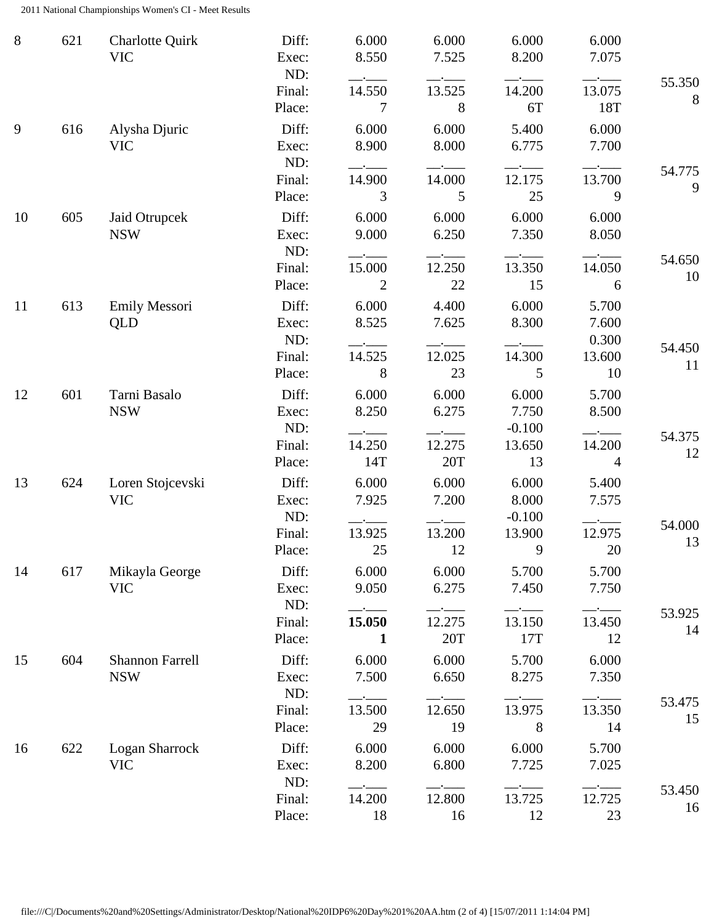2011 National Championships Women's CI - Meet Results

| 8  | 621 | <b>Charlotte Quirk</b><br><b>VIC</b> | Diff:<br>Exec:<br>ND:<br>Final: | 6.000<br>8.550<br>$ -$<br>14.550 | 6.000<br>7.525<br>13.525 | 6.000<br>8.200<br>14.200   | 6.000<br>7.075<br>13.075 | 55.350       |
|----|-----|--------------------------------------|---------------------------------|----------------------------------|--------------------------|----------------------------|--------------------------|--------------|
| 9  | 616 | Alysha Djuric                        | Place:<br>Diff:                 | 7<br>6.000                       | 8<br>6.000               | 6T<br>5.400                | 18T<br>6.000             | 8            |
|    |     | <b>VIC</b>                           | Exec:<br>ND:<br>Final:          | 8.900<br>14.900                  | 8.000<br>14.000          | 6.775<br>12.175            | 7.700<br>13.700          | 54.775       |
|    |     |                                      | Place:                          | 3                                | 5                        | 25                         | 9                        | 9            |
| 10 | 605 | Jaid Otrupcek<br><b>NSW</b>          | Diff:<br>Exec:<br>ND:           | 6.000<br>9.000                   | 6.000<br>6.250           | 6.000<br>7.350             | 6.000<br>8.050           |              |
|    |     |                                      | Final:<br>Place:                | 15.000<br>2                      | 12.250<br>22             | 13.350<br>15               | 14.050<br>6              | 54.650<br>10 |
| 11 | 613 | Emily Messori<br>QLD                 | Diff:<br>Exec:<br>ND:           | 6.000<br>8.525                   | 4.400<br>7.625           | 6.000<br>8.300             | 5.700<br>7.600<br>0.300  |              |
|    |     |                                      | Final:<br>Place:                | 14.525<br>8                      | 12.025<br>23             | 14.300<br>5                | 13.600<br>10             | 54.450<br>11 |
| 12 | 601 | Tarni Basalo<br><b>NSW</b>           | Diff:<br>Exec:<br>ND:           | 6.000<br>8.250                   | 6.000<br>6.275           | 6.000<br>7.750<br>$-0.100$ | 5.700<br>8.500           |              |
|    |     |                                      | Final:<br>Place:                | 14.250<br>14T                    | 12.275<br>20T            | 13.650<br>13               | 14.200<br>$\overline{4}$ | 54.375<br>12 |
| 13 | 624 | Loren Stojcevski<br><b>VIC</b>       | Diff:<br>Exec:<br>ND:           | 6.000<br>7.925                   | 6.000<br>7.200           | 6.000<br>8.000<br>$-0.100$ | 5.400<br>7.575           |              |
|    |     |                                      | Final:<br>Place:                | 13.925<br>25                     | 13.200<br>12             | 13.900<br>9                | 12.975<br>20             | 54.000<br>13 |
| 14 | 617 | Mikayla George<br><b>VIC</b>         | Diff:<br>Exec:<br>ND:           | 6.000<br>9.050                   | 6.000<br>6.275           | 5.700<br>7.450             | 5.700<br>7.750           |              |
|    |     |                                      | Final:<br>Place:                | 15.050<br>1                      | 12.275<br>20T            | 13.150<br>17T              | 13.450<br>12             | 53.925<br>14 |
| 15 | 604 | <b>Shannon Farrell</b><br><b>NSW</b> | Diff:<br>Exec:<br>ND:           | 6.000<br>7.500                   | 6.000<br>6.650           | 5.700<br>8.275             | 6.000<br>7.350           |              |
|    |     |                                      | Final:<br>Place:                | 13.500<br>29                     | 12.650<br>19             | 13.975<br>8                | 13.350<br>14             | 53.475<br>15 |
| 16 | 622 | <b>Logan Sharrock</b><br><b>VIC</b>  | Diff:<br>Exec:<br>ND:           | 6.000<br>8.200                   | 6.000<br>6.800           | 6.000<br>7.725             | 5.700<br>7.025           |              |
|    |     |                                      | Final:<br>Place:                | 14.200<br>18                     | 12.800<br>16             | 13.725<br>12               | 12.725<br>23             | 53.450<br>16 |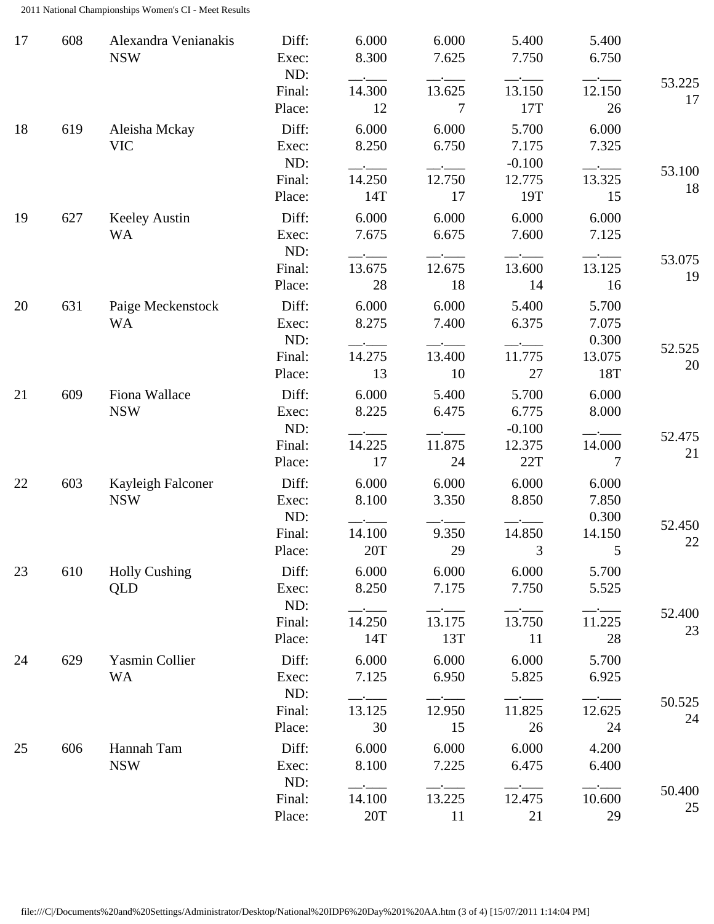2011 National Championships Women's CI - Meet Results

| 17 | 608 | Alexandra Venianakis<br><b>NSW</b> | Diff:<br>Exec:<br>ND:           | 6.000<br>8.300           | 6.000<br>7.625          | 5.400<br>7.750             | 5.400<br>6.750                    |              |
|----|-----|------------------------------------|---------------------------------|--------------------------|-------------------------|----------------------------|-----------------------------------|--------------|
|    |     |                                    | Final:<br>Place:                | 14.300<br>12             | 13.625<br>7             | 13.150<br>17T              | 12.150<br>26                      | 53.225<br>17 |
| 18 | 619 | Aleisha Mckay<br><b>VIC</b>        | Diff:<br>Exec:<br>ND:           | 6.000<br>8.250           | 6.000<br>6.750          | 5.700<br>7.175<br>$-0.100$ | 6.000<br>7.325                    |              |
|    |     |                                    | Final:<br>Place:                | 14.250<br>14T            | 12.750<br>17            | 12.775<br>19T              | 13.325<br>15                      | 53.100<br>18 |
| 19 | 627 | <b>Keeley Austin</b><br><b>WA</b>  | Diff:<br>Exec:<br>ND:           | 6.000<br>7.675           | 6.000<br>6.675          | 6.000<br>7.600             | 6.000<br>7.125                    |              |
|    |     |                                    | Final:<br>Place:                | 13.675<br>28             | 12.675<br>18            | 13.600<br>14               | 13.125<br>16                      | 53.075<br>19 |
| 20 | 631 | Paige Meckenstock<br><b>WA</b>     | Diff:<br>Exec:<br>ND:           | 6.000<br>8.275           | 6.000<br>7.400          | 5.400<br>6.375             | 5.700<br>7.075<br>0.300           | 52.525       |
|    |     |                                    | Final:<br>Place:                | 14.275<br>13             | 13.400<br>10            | 11.775<br>27               | 13.075<br>18T                     | 20           |
| 21 | 609 | Fiona Wallace<br><b>NSW</b>        | Diff:<br>Exec:<br>ND:           | 6.000<br>8.225           | 5.400<br>6.475          | 5.700<br>6.775<br>$-0.100$ | 6.000<br>8.000                    | 52.475       |
|    |     |                                    | Final:<br>Place:                | 14.225<br>17             | 11.875<br>24            | 12.375<br>22T              | 14.000<br>7                       | 21           |
| 22 | 603 | Kayleigh Falconer<br><b>NSW</b>    | Diff:<br>Exec:<br>ND:<br>Final: | 6.000<br>8.100<br>14.100 | 6.000<br>3.350<br>9.350 | 6.000<br>8.850<br>14.850   | 6.000<br>7.850<br>0.300<br>14.150 | 52.450<br>22 |
| 23 | 610 | <b>Holly Cushing</b><br>QLD        | Place:<br>Diff:<br>Exec:<br>ND: | 20T<br>6.000<br>8.250    | 29<br>6.000<br>7.175    | 3<br>6.000<br>7.750        | 5.700<br>5.525                    |              |
|    |     |                                    | Final:<br>Place:                | 14.250<br>14T            | 13.175<br>13T           | 13.750<br>11               | $ -$<br>11.225<br>28              | 52.400<br>23 |
| 24 | 629 | Yasmin Collier<br><b>WA</b>        | Diff:<br>Exec:<br>ND:           | 6.000<br>7.125           | 6.000<br>6.950          | 6.000<br>5.825             | 5.700<br>6.925                    |              |
|    |     |                                    | Final:<br>Place:                | 13.125<br>30             | 12.950<br>15            | 11.825<br>26               | 12.625<br>24                      | 50.525<br>24 |
| 25 | 606 | Hannah Tam<br><b>NSW</b>           | Diff:<br>Exec:                  | 6.000<br>8.100           | 6.000<br>7.225          | 6.000<br>6.475             | 4.200<br>6.400                    |              |
|    |     |                                    | ND:<br>Final:<br>Place:         | 14.100<br>20T            | 13.225<br>11            | 12.475<br>21               | 10.600<br>29                      | 50.400<br>25 |